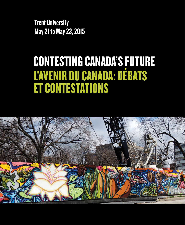Trent University May 21 to May 23, 2015

# CONTESTING CANADA'S FUTURE L'AVENIR DU CANADA: DÉBATS ET CONTESTATIONS

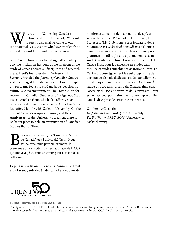**W** FULL TO "Contesting Canada's Tenture" and Trent University. We to extend a special welcome to our international LCCS visitors who have traveled Future" and Trent University. We want to extend a special welcome to our international ICCS visitors who have traveled from around the world to attend this conference.

Since Trent University's founding half a century ago, the institution has been at the forefront of the study of Canada across all disciplines and research areas. Trent's first president, Professor T.H.B. Symons, founded the *Journal of Canadian Studies* and encouraged the establishment of interdisciplinary programs focusing on Canada, its peoples, its culture, and its environment. The Frost Centre for research in Canadian Studies and Indigenous Studies is located at Trent, which also offers Canada's only doctoral program dedicated to Canadian Studies, offered jointly with Carleton University. On the cusp of Canada's sesquicentennial, and the 50th Anniversary of the University's creation, there is no better place to hold an examination of Canadian Studies than at Trent.

BIENVENU AU COLLOQUE "Contester l'avenir<br>du Canada" et à l'université Trent. Nous<br>souhaitons, plus particulièrement, la<br>hienvenue à nos visiteurs internationaux de l'ICCS du Canada" et à l'université Trent. Nous souhaitons, plus particulièrement, la bienvenue à nos visiteurs internationaux de l'ICCS qui ont voyagé du monde entier pour assister à ce colloque.

Depuis sa fondation il y a 50 ans, l'université Trent est à l'avant-garde des études canadiennes dans de

nombreux domaines de recherche et de spécialisation. Le premier Président de l'université, le Professeur T.H.B. Symons, est le fondateur de la renommée *Revue des études canadiennes*; Thomas Symons a envisagé la création de nombreux programmes interdisciplinaires qui mettent l'accent sur le Canada, sa culture et son environnement. Le Centre Frost pour la recherche en études canadiennes et études autochtones se trouve à Trent. Le Centre propose également le seul programme de doctorat au Canada dédié aux études canadiennes, offert conjointement avec l'université Carleton. À l'aube du 150e anniversaire du Canada, ainsi qu'à l'occasion du 50e anniversaire de l'Université, Trent est le lieu idéal pour faire une analyse approfondie dans la discipline des Études canadiennes.

Conference Co-chairs *Dr. Joan Sangster, FRSC* (Trent University) *Dr. Bill Waiser, FRSC, SOM* (University of Saskatchewan)



#### **FUNDS PROVIDED BY / FINANCÉ PAR**

The Symons Trust Fund; Frost Centre for Canadian Studies and Indigenous Studies; Canadian Studies Department; Canada Research Chair in Canadian Studies, Professor Bryan Palmer; ICCS/CIEC; Trent University.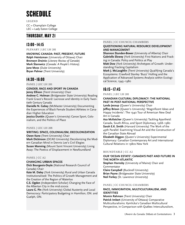## SCHEDULE

**LEGEND** CC = Champlain College LEC = Lady Eaton College

## THURSDAY, MAY 21

## 13:00–14:15

**PLENARY | LEC LH 201**

**KNOWING CANADA: PAST, PRESENT, FUTURE**

**Ralph Heintzman** (University of Ottawa) Chair **Bronwyn Drainie** (*Literary Review of Canada*) **Mark Starowicz** (*Canada: A People's History*) **Jane Moss** (Duke University) **Bryan Palmer** (Trent University)

## 14:30–16:00

**PANEL | LEC LH 201**

#### **GENDER, RACE AND SPORT IN CANADA**

**Jenny Ellison** (Trent University) Chair

**Andrew C. Holman** (Bridgewater State University) Reading Frank Grace's Record: Lacrosse and Identity in Early Twentieth Century Canada

**Danielle N. Gabay** (McMaster University) Documenting the Experiences of Black Female Student Athletes in Canadian Higher Education

**Jessica Dunkin** (Queen's University) Canoe Sport, Colonialism, and the Politics of Place

#### **PANEL | LEC LH 208**

#### **WRITING: SPACE, COLONIALISM, DECOLONIZATION Owen Kane** (Trent University) Chair

**Mark Dickinson** (OCAD University) Decolonizing the Modern Canadian Mind in Dennis Lee's Civil Elegies **Susan Manning** (Mount Saint Vincent University) Living Away: The Poetics of Displacement in Newfoundland

#### **PANEL | CC A2**

#### **CHANGING URBAN SPACES**

**Dick Bourgeois-Doyle** (National Research Council of Canada) Chair

**Kate M. Daley** (York University) Rural and Urban Canada Institutionalised: The Politics of Growth Management and the Creation of the Region of Waterloo

**C.S. Ogden** (Independent Scholar) Changing the Face of the Albertan City in the mid-2000s

**Laura G. Pin** (York University) Global Austerity and Local Democracy: Participatory Budgeting in Hamilton, ON. and Guelph, ON.

#### **PANEL | CC COUNCIL CHAMBERS**

#### **QUESTIONING NATURAL RESOURCE DEVELOPMENT AND MANAGEMENT**

**Shannon Stunden-Bower** (University of Alberta) Chair **Gabrielle Slowey** (York University) First Nations and Fracking in Canada: Policy and Politics at Play

**Matt Dow** (York University) Archetypes of Growth: Understanding Fracking Capitalism

**Mark J. McLaughlin** (Trent University) Qualifying Canada's Ecosystems: Crawford Stanley 'Buzz' Holling and the Application of Advanced Systems Analysis within Ecological Science, 1945–1980

## 16:15–17:45

**PANEL | LEC LH 201**

#### **CANADIAN CULTURAL DIPLOMACY: THE NATIONAL PAST IN POST-NATIONAL PERSPECTIVE**

**Lynda Jessup** (Queen's University) Chair

**Jeffrey Brison** (Queen's University) 'Magnificent Ideas and Happy Incidents': The 1940 Tour of American New Deal Art in Canada

**Asa McKetcher** (Queen's University) Tackling Apartheid: Canada, South Africa, and Sport Diplomacy, 1968–1980 **Sarah E.K. Smith** (Harvard University) The Work of the 49th Parallel: Examining Visual Art and the Construction of the Canadian State Abroad

**Elizabeth Diggon** (Queen's University) Experimental Diplomacy: Canadian Contemporary Art and International Cultural Relations in 1980s New York

#### **ROUNDTABLE | CC A2**

#### **OUR 'OCEAN ESTATE': CANADA'S PAST AND FUTURE IN THE NORTH ATLANTIC**

**Stephen Hornsby** (University of Maine) Chair and Commentator

**Claire Campbell** (Bucknell University) **Brian Payne** (Bridgewater State University) **Neil Forkey** (St. Lawrence University)

#### **PANEL | CC COUNCIL CHAMBERS**

#### **RACE, IMMIGRATION, MULTICULTURALISM, AND IDENTITIES**

**Momin Rahman** (Trent University) Chair **Patrick Imbert** (University of Ottawa) Comparative Multiculturalisms: Kymlicka's Canadian Multicultural Perspective, in Comparison with Québec Interculturalism,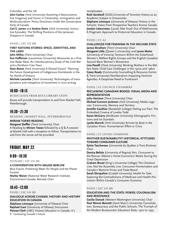#### Colombia, and the UK

**John Carlaw** (York University) Asserting a Neoconservative Imaginary and Vision in Citizenship, Immigration and Multiculturalism: Policy Directions Under the Conservative Party of Canada

**Carl E. James** and **Andrea Davis** (York University) Instructive Episodes: The Shifting Positions of the Jamaican Diaspora in Canada

#### **PANEL | LEC LH 208**

#### **FIRST NATIONS STORIES: SPACE, IDENTITIES, AND THE LAND**

**John Milloy** (Trent University) Chair

**Sue Heffernan** (Laurentian University) Moosonee as a Pine tree Radar Base: An Interdisciplinary Study of the Cold War and a Northern Cree Town

**Ryan Bowie** (York University) A Shared Vision? Planning the Future Development of Indigenous Homelands in the Far North of Ontario

**Michele Lacombe** (Trent University) Technologies of transportation and metaphors of movement in Innu writing

## 18:00–18:15

#### **BUSES LEAVE FROM BATA LIBRARY STEPS**

Buses will provide transportation to and from Market Hall, Peterborough.

## 19:30–21:30

**READING | MARKET HALL, PETERBOROUGH**

#### **MIRIAM TOEWS READING**

**Margaret Steffler** (Trent University) Chair A Reading by **Miriam Toews** followed by a Q & A session at Market Hall with a reception to follow. Transportation to and from the venue will be provided.

## FRIDAY, MAY 22

## 9:00–10:30

**PLENARY | LEC LH 201**

#### **A CONVERSATION WITH MAUDE BARLOW**

Blue Future, Protecting Water for People and the Planet Forever

**Marley Waiser** (National Water Research Institute, Environment Canada, Retired) Chair

## 10:45–12:00

**PANEL | LEC LH 201**

#### **DIALOGUE ACROSS CHASMS: HISTORY AND HISTORY EDUCATION IN CANADA**

4 Contesting Canada's Future **Stéphane Lévesque** (University of Ottawa) Chair **Raphael Gani** (University of Ottawa) Discussant **Penney Clark** (UBC) History Education in Canada: It's

#### complicated…

**Ruth Sandwell** (OISE/University of Toronto) History as an Academic Subject in Universities

**Stéphane Lévesque** (University of Ottawa) History in the Schools: Views From Prospective Teachers Across Canada **Jocelyn Létourneau** (Laval) Take Youth Out of Mythistories: A Pragmatic Approach to Historical Education in Canada

#### **PANEL | CC A2**

#### **CHALLENGES FOR FEMINISM IN THE WELFARE STATE James Struthers** (Trent University) Chair

**Margaret Little** (Queen's University) and **Lynne Marks** (University of Victoria) Tensions Within the Sisterhood: Women's Welfare Rights Groups and the English Canadian Second Wave Women's Movement

**Lisa Pasolli** (Trent University) Working Mothers in the Welfare State: Child Care Challenges in the 1970s and 1980s **Casey Ready** (Community Counselling & Resource Centre & Trent University) Neoliberalism Impacting Feminist Agendas: A Desperate Need to Fundraise?

#### **PANEL | CC COUNCIL CHAMBERS**

#### **RECLAIMING CANADIAN BODIES: VISUAL MEDIA AND REPRESENTATION**

**Julia Harrison** (Trent University) Chair

**Michael Connors Jackman** (York University) Media Lega-

cies: Community, Memory and Territory **Jennifer Gauthier** (Randolph College) Feeling our Pain: The

Embodied Cinema of Loretta Todd

**Karen McGarry** (McMaster University) Ethnographic Frictions and Ice Scandals

**Lynda Mannik** (York University) Arrivals by Boat in the Canadian Press: Humanitarian Effort or Crisis

#### **PANEL | CC LIVING COMMONS**

#### **WHITHER SUSTAINABILITY? HISTORICAL ATTITUDES TOWARD CONSUMER CULTURE**

**Sylvie Taschereau** (Université du Québec à Trois-Rivières) Chair

**Donica Belisle** (University of Regina) Mrs. Consumer to the Rescue: Alberta's Home Economics Weeks During the Great Depression

**Graham Broad** (King's University College) The Checkout Line, Not the Assembly Line: Consumer-Homemakers and Canada's Wartime Prices and Trade Board

**Sarah Shropshire** (Guelph University) Health for Sale: Exploring the Contradictions of Medicare and Health Promotion Within Canada's Consumer Economy

#### **PANEL | LEC LH 208**

#### **EDUCATION AND THE STATE: POWER, COLONIALISM AND RESISTANCE**

**Cecilia Danysk** (Western Washington University) Chair **Paul Warren Bennett** (Saint Mary's University) Consolidation, Bureaucracy, and the Public Schools: The Triumph of the Modern Bureaucratic Education State, 1920 to 1993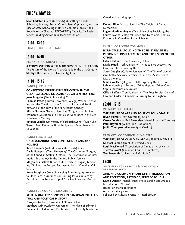## FRIDAY, MAY 22

**Sean Carleton** (Trent University) Unsettling Canada's Schooling History: Settler Colonialism, Capitalism, and the Rise of State Schooling in British Columbia, 1849–1925 **Andy Hanson** (Retired, ETFO/EEFO) Capacity for Resistance: Building Activism in Teachers' Unions

## 12:00–13:00

**LUNCH | CC GREAT HALL**

## 13:00–14:15

**PLENARY | CC GREAT HALL**

**A CONVERSATION WITH MARY SIMON (INUIT LEADER)** The Future of the North: Arctic Canada in the 21st Century **Shelagh D. Grant** (Trent University) Chair

## 14:30–15:45

#### **PANEL | LEC LH 201**

### **CONTESTING INDIGENOUS EDUCATION IN THE GREAT LAKES AND ST. LAWRENCE VALLEY: 1760–2006**

**Joan Sangster** (Trent University) Chair

**Thomas Peace** (Huron University College) Wendat, Schooling and the Creation of the Canadas: Social and Political networks at the Turn of the Nineteenth Century

**Alison Norman** (Trent University) "Taught by an Indian Woman": Education and Politics at Tyendinaga in the late Nineteenth Century

**Kathryn Labelle** (University of Saskatchewan) 'If Only She Were a Boy': Éléonore Sioui, Indigenous Feminism and Education

#### **PANEL | LEC LH 208**

#### **UNDERSTANDING AND CONTESTING CANADIAN POLITICS**

**Kevin Spooner** (Wilfrid Laurier University) Chair **David Rapaport** (Trent University) The Corporate 'Borging' of the Canadian State in Ontario: The Privatization of Information Technology in the Ontario Public Service

**Magdalena Fi**ř**tová** (Charles University in Prague) Mediating Oil Sands in Europe: Representation of Canadian Oil Sands

**Anna Sotnykova** (York University) Examining Approaches to Elder Care in Ontario: Confronting Issues in Care by Examining the Relationship of Care Providers and Recipients

#### **PANEL | CC COUNCIL CHAMBERS**

#### **RE-THINKING KEY CONCEPTS IN CANADIAN INTELLEC-TUAL AND POLITICAL HISTORY**

**François Rocher** (University of Ottawa) Chair **Matthew Cain** (Carleton University) The Place of Edmund Burke in Confederation: Pivotal Voice, or Identity Marker in Canadian Historiography?

**Dennis Pilon** (York University) The Origins of Canadian **Democracy** 

**Logan Mardhani-Bayne** (Yale University) Revisiting the Fourth World: Ecological Crises and Decolonial Political Economy in Canadian Social Science

#### **PANEL | CC LIVING COMMONS**

#### **ROUNDTABLE: 'POLICING THE CRISIS' REVISITED: PRISONING, DISPLACEMENT, AND EXPULSION OF THE OTHER**

**Gillian Balfour** (Trent University) Chair

**David Hugill** (York University) Three to Five Lessons We Can Learn from Policing the Crisis

**Stacy Douglas** (Carleton University) The Time of Liberalism: Kafka, Security Certificates, and the Aesthetics of Law's Violence

**Simon Wallace** (Osgoode Hall) Exposing the Crisis of Urban Housing in Toronto: What Happens When Global Capital Becomes a Slumlord

**Gillian Balfour** (Trent University) The Post Fordist Crisis of Law and Order in Canada: Returning to Birmingham

## 16:00–17:15

**PLENARY | LEC LH 201**

#### **THE FUTURE OF ART AND POLITICS ROUNDTABLE**

**Bryan Palmer** (Trent University) Chair **Carole Condé** and **Karl Beveridge** (Visual Artists in Toronto) **Peter Raymont** (White Pine Productions) **Judith Thompson** (University of Guelph)

#### **PLENARY | CC COUNCIL CHAMBERS**

**THE FUTURE OF CANADIAN ARCHIVES ROUNDTABLE Michael Eamon** (Trent University) Chair **Loryl MacDonald** (Association of Canadian Archivists) **Theresa Rowat** (Canadian Council of Archives) **Tom Nesmith** (University of Manitoba)

## 18:30

**ARTS EVENT | ARTSPACE & DOWNTOWN PETERBOROUGH**

#### **ARTS AND COMMUNITY: ARTIST'S INTRODUCTION AND RECEPTION, ARTSPACE, PETERBOROUGH**

**Dayna Danger** (Visual Artist) Photo Exhibit and Artist's Introduction: "Sisters" Reception starts at 6:30pm Artist talk at 7:30pm Followed by cultural events in Peterborough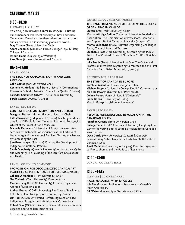## SATURDAY, MAY 23

## 9:00–10:30

**PLENARY | LEC LH 201**

#### **CANADA, CANADIANS & INTERNATIONAL AFFAIRS**

Panel members will reflect critically on how and where Canada and Canadians see themselves both as a nation and as citizens in a 21st century globalized world. **May Chazan** (Trent University) Chair **Adam Chapnick** (Canadian Forces College/Royal Military College of Canada) **Jasmin Habib** (University of Waterloo)

**Alex Neve** (Amnesty International Canada)

## 10:45–12:00

**PANEL | CC A2**

#### **THE STUDY OF CANADA IN NORTH AND LATIN AMERICA**

**Colin Coates** (York University) Chair

**Kenneth M. Holland** (Ball State University) Commentator **Roseanna Dufault** (American Council for Quebec Studies) **Salvador Cervantes** (UNIVA-The Catholic University) **Sergio Stange** (ACHECA, Chile)

#### **PANEL | LEC LH 201**

#### **CONTESTING COMMEMORATION AND CULTURE**

**Meaghan Beaton** (Mount Allison University) Chair **Kate Zankowicz** (Independent Scholar) Teaching in Museums for a Difficult Future: Canadian Nature as Pedagogical Object at the Royal Ontario Museum

**Michelle Desveaux** (University of Saskatchewan) Intersections of Historical Consciousness at the Fortress of Louisbourg and the National Archives: Writing the Present by Contesting the Past

**Jonathan Lockyer** (Artspace) Charting the Development of Indigenous Curatorial Practice

**Sarah Dougherty** (Queen's University) Authoritative Myths and Meaning: The Founding of the Stratford Shakespearean Festival

#### **PANEL | CC LIVING COMMONS**

#### **PROPOSITION FOR DECOLONIZING CANADA: ART PRACTICES AS PRESENT (AND FUTURE) IMAGINARIES**

**Colleen O'Manique** (Trent University) Chair **Ger Zielinski** (Trent University) Commentator **Caroline Langill** (OCAD University) Curated Objects as Agents of Decolonization

**Andrea Fatona** (OCAD University) The State of Blackness: Reflections On Strategies for Decolonizing Practices **Dot Tuer** (OCAD University) Performing Decoloniality: Indigenous Struggles and Hemispheric Connections **Robert Diaz** (OCAD University) Queer Filipinos as Imperial Legacies and Canadian Imaginaries

#### **PANEL | CC COUNCIL CHAMBERS**

#### **THE PAST, PRESENT, AND FUTURE OF WHITE-COLLAR ORGANIZING IN CANADA**

**Steven Tufts** (York University) Chair

**Martha Attridge Bufton** (Carleton University) Solidarity in Association: The Unionization of Professors, Librarians and Support Staff at Carleton University (1973–1976) **Morna Ballantyne** (PSAC) Current Organizing Challenges Facing Trade Unions and Workers

**Stephanie Ross** (York University) Organizing the Public Sector: The Contradictions of Growth in CUPE's First Ten Years

**Julia Smith** (Trent University) Past Due: The Office and Professional Workers Organizing Committee and the First Canadian Bank Strike, Montreal, 1941–1942

#### **ROUNDTABLE | LEC LH 207**

#### **THE STUDY OF CANADA IN EUROPE**

**Caroline Rosenthal** (Universität Jena) Chair **Michael Brophy** (University College Dublin) Commentator **Alan Hallsworth** (University of Portsmouth) **Oriana Palusci** (Univ di Napoli "L'Orientale") **Janne Korkka** (University of Turku) **Marcin Gabrys** (Jagiellonian University)

#### **PANEL | LEC LH 208**

#### **REFORM, RESISTANCE AND REVOLUTION IN THE CANADIAN POLITY**

**Jonathan Greene** (Trent University) Chair **Rusa Jeremic** (OISE/University of Toronto) Laughing Our Way to the Voting Booth: Satire as Resistance in Canada's 2011 Election

**Dock Currie** (York University) Guattari & Goodwin: Revolutionary Subjectivity in the Early Twentieth Century Canadian West

**Amal Madibbo** (University of Calgary) Race, Immigration, La Francophonie, and the Politics of Resistance

## 12:00–13:00

**LUNCH | CC GREAT HALL**

## 13:00–14:15

**PLENARY | CC GREAT HALL**

#### **A CONVERSATION WITH ERICA LEE**

Idle No More and Indigenous Resistance at Canada's 150th Anniversary **Bill Waiser** (University of Saskatchewan) Chair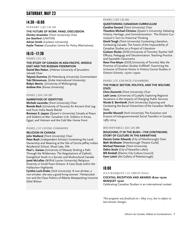## SATURDAY, MAY 23

## 14:30–16:00

**PLENARY | LEC LH 201**

**THE FUTURE OF WORK: PANEL DISCUSSION Dimitry Anastakis** (Trent University) Chair **Jim Stanford** (UNIFOR) **Adrian Smith** (Carleton University) **Kaylie Tiessen** (Canadian Centre for Policy Alternatives)

## 16:15–17:30

#### **PANEL | CC A2**

#### **THE STUDY OF CANADA IN ASIA-PACIFIC, MIDDLE EAST AND THE RUSSIAN FEDERATION**

**Daniel Ben-Natan**, (Hebrew University of Jerusalemretired) Chair

**Tatyana Kuzmina** (St Petersburg University) Commentator **Yuki Shimomura**, (Kobe International University) **Robyn Morris**, (University of Wollongong) **Andrew Kim** (Korea University)

#### **PANEL | LEC LH 207**

#### **NARRATIVES OF IDENTITIES**

**Michele Lacombe** (Trent University) Chair **Brenda Beck** (University of Toronto) An Ancient Oral Legend From India Newly Retold

**Bronwyn E. Jaques** (Queen's University) Canada at Peace and Soldiers at War: Canadian U.N. Soldiers in Korea, Egypt, and Vietnam and the Cold War Home Front

#### **PANEL | CC LIVING COMMONS**

#### **RELIGION IN CANADA**

**John Wadland** (Trent University) Chair **Peter Bush** (Independent Scholar) Contesting the Land: Ownership and Meaning at the Site of Cecilia Jeffrey Indian Residential School, Shoal Lake, ON.

**Paul L. Gareau** (University of Ottawa) Striking a Path Through the Wilderness: The Negotiations of Catholic Evangelical Youth in a Secular and Multicultural Canada **Janet McLellan** (Wilfrid Laurier University) Religious Diversity in Small-Town Ontario: A Case Study within the Haliburton Highlands

**Cynthia Loch-Drake** (York University) 'A non-drinker, a non-smoker, she was a good-living woman': Pentacostalism and the Class Politics of Alberta Meatpacking Unionist Ethel Wilson

#### **PANEL | LEC LH 201**

#### **QUESTIONING CANADIAN CURRICULUM**

**Caroline Durand** (Trent University) Chair

**Theodore Michael Christou** (Queen's University) Debating History, Heritage, and Commemoration: The Ontario Curriculum's Turn to Historical Thinking

**David Tough** (Trent University) Contesting Liberation, Contesting Canada: The Future of the Impossibility of Canadian Studies as a Project of Liberation

**Graham Shular** (OISE/University of Toronto) Teacher Self-Efficacy, Pedagogy and Decolonization: Teaching Practice and Equitable Classrooms

**Rose Fine-Meyer** (OISE/University of Toronto) Was the Promise of Canadian Studies Fulfilled?: Examining the Inclusion of Diverse Voices in History Course Studies in Ontario Schools, 1970s–1990s

#### **PANEL | CC COUNCIL CHAMBERS**

#### **THE PUBLIC SECTOR, POLITICS, AND THE WELFARE STATE**

**Chris Dummitt** (Trent University) Chair **Leah Levac** (University of Guelph) Exploring Regional Variations in the Impacts of Changing Public Services **Nicole S. Bernhardt** (York University) Exposing and Contesting the Racial Hierarchies of the Canadian Welfare State

**Jennifer Mussell** (York University) The Evolution and Erosion of Intergovernmental Social Transfers in Canada, 1985–2014

#### **ROUNDTABLE | LEC LH 208**

#### **ROUGHING IT IN THE BUSH—THE CONTINUING STORY OF CULTURE IN THE KAWARTHAS**

**Dennis Carter Edwards** (City of Peterborough) Chair **Beth McMaster** (Peterborough Theatre Guild) **Michael Peterman** (Trent University) **Debra Soule** (City of Kawartha Lakes) **Bill Kimball** (Electric City Culture Council) **Fynn Leitch** (Art Gallery of Peterborough)

## 18:00

#### **ICCS BANQUET | CC GREAT HALL**

#### **COCKTAIL RECEPTION AND AWARDS 18:00–19:00 BANQUET 19:00**

Celebrating Canadian Studies in an international context

*This program was finalized on 1 May 2015, but is subject to last-minute changes.*